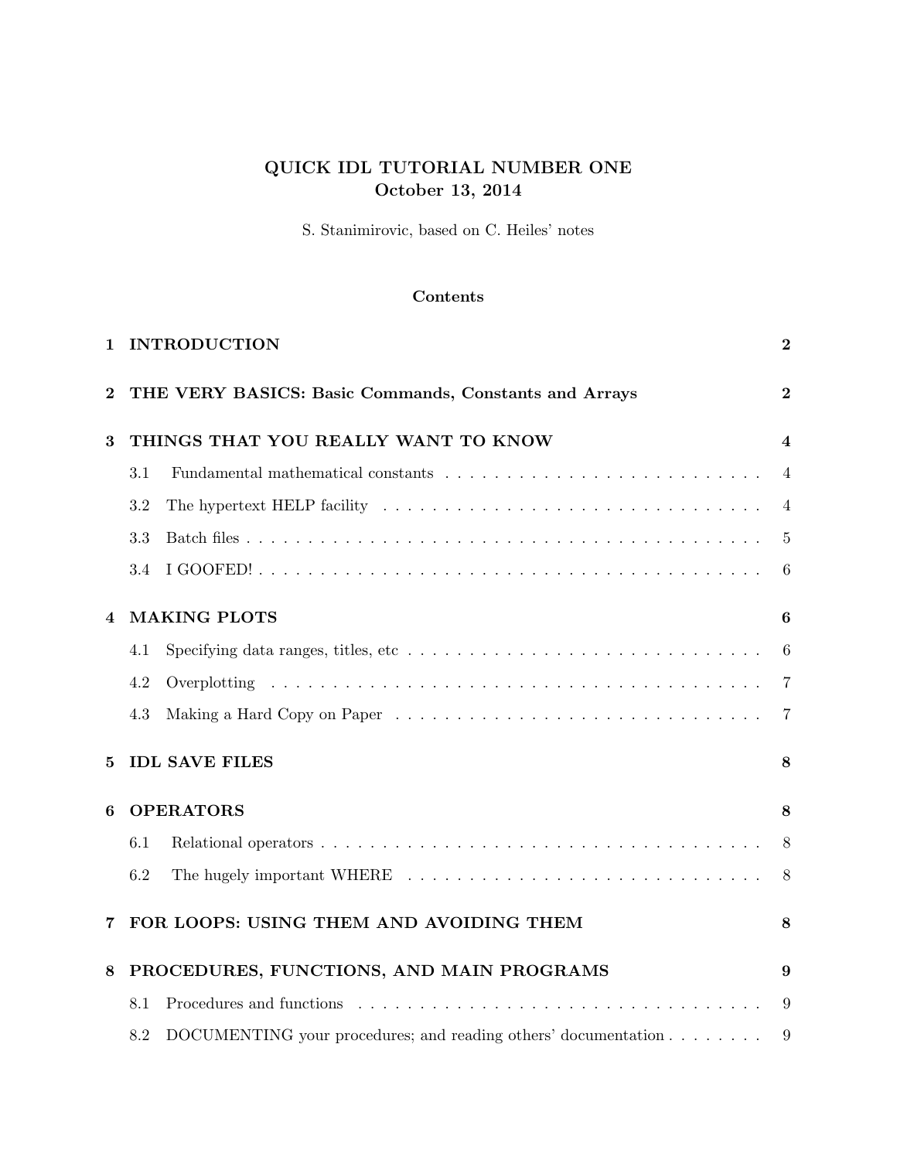# QUICK IDL TUTORIAL NUMBER ONE October 13, 2014

S. Stanimirovic, based on C. Heiles' notes

# Contents

| 1                                        | <b>INTRODUCTION</b>                                                                                                                                                                                                                   |                 |  |  |  |  |  |  |  |
|------------------------------------------|---------------------------------------------------------------------------------------------------------------------------------------------------------------------------------------------------------------------------------------|-----------------|--|--|--|--|--|--|--|
| $\bf{2}$                                 | THE VERY BASICS: Basic Commands, Constants and Arrays                                                                                                                                                                                 |                 |  |  |  |  |  |  |  |
| THINGS THAT YOU REALLY WANT TO KNOW<br>3 |                                                                                                                                                                                                                                       |                 |  |  |  |  |  |  |  |
|                                          | 3.1                                                                                                                                                                                                                                   | $\overline{4}$  |  |  |  |  |  |  |  |
|                                          | The hypertext HELP facility $\ldots \ldots \ldots \ldots \ldots \ldots \ldots \ldots \ldots \ldots$<br>3.2                                                                                                                            | $\overline{4}$  |  |  |  |  |  |  |  |
|                                          | 3.3                                                                                                                                                                                                                                   | 5               |  |  |  |  |  |  |  |
|                                          | 3.4                                                                                                                                                                                                                                   | 6               |  |  |  |  |  |  |  |
| $\overline{4}$                           | <b>MAKING PLOTS</b>                                                                                                                                                                                                                   | 6               |  |  |  |  |  |  |  |
|                                          | 4.1                                                                                                                                                                                                                                   | $6\phantom{.}6$ |  |  |  |  |  |  |  |
|                                          | 4.2                                                                                                                                                                                                                                   | $\overline{7}$  |  |  |  |  |  |  |  |
|                                          | 4.3                                                                                                                                                                                                                                   | $\overline{7}$  |  |  |  |  |  |  |  |
| 5                                        | <b>IDL SAVE FILES</b>                                                                                                                                                                                                                 |                 |  |  |  |  |  |  |  |
| <b>OPERATORS</b><br>6                    |                                                                                                                                                                                                                                       |                 |  |  |  |  |  |  |  |
|                                          | 6.1                                                                                                                                                                                                                                   | 8               |  |  |  |  |  |  |  |
|                                          | 6.2                                                                                                                                                                                                                                   | 8               |  |  |  |  |  |  |  |
|                                          | FOR LOOPS: USING THEM AND AVOIDING THEM<br>8                                                                                                                                                                                          |                 |  |  |  |  |  |  |  |
| 8                                        | PROCEDURES, FUNCTIONS, AND MAIN PROGRAMS                                                                                                                                                                                              | 9               |  |  |  |  |  |  |  |
|                                          | Procedures and functions experiences in the contract of the contract of the contract of the contract of the contract of the contract of the contract of the contract of the contract of the contract of the contract of the co<br>8.1 | 9               |  |  |  |  |  |  |  |
|                                          | DOCUMENTING your procedures; and reading others' documentation<br>8.2                                                                                                                                                                 | 9               |  |  |  |  |  |  |  |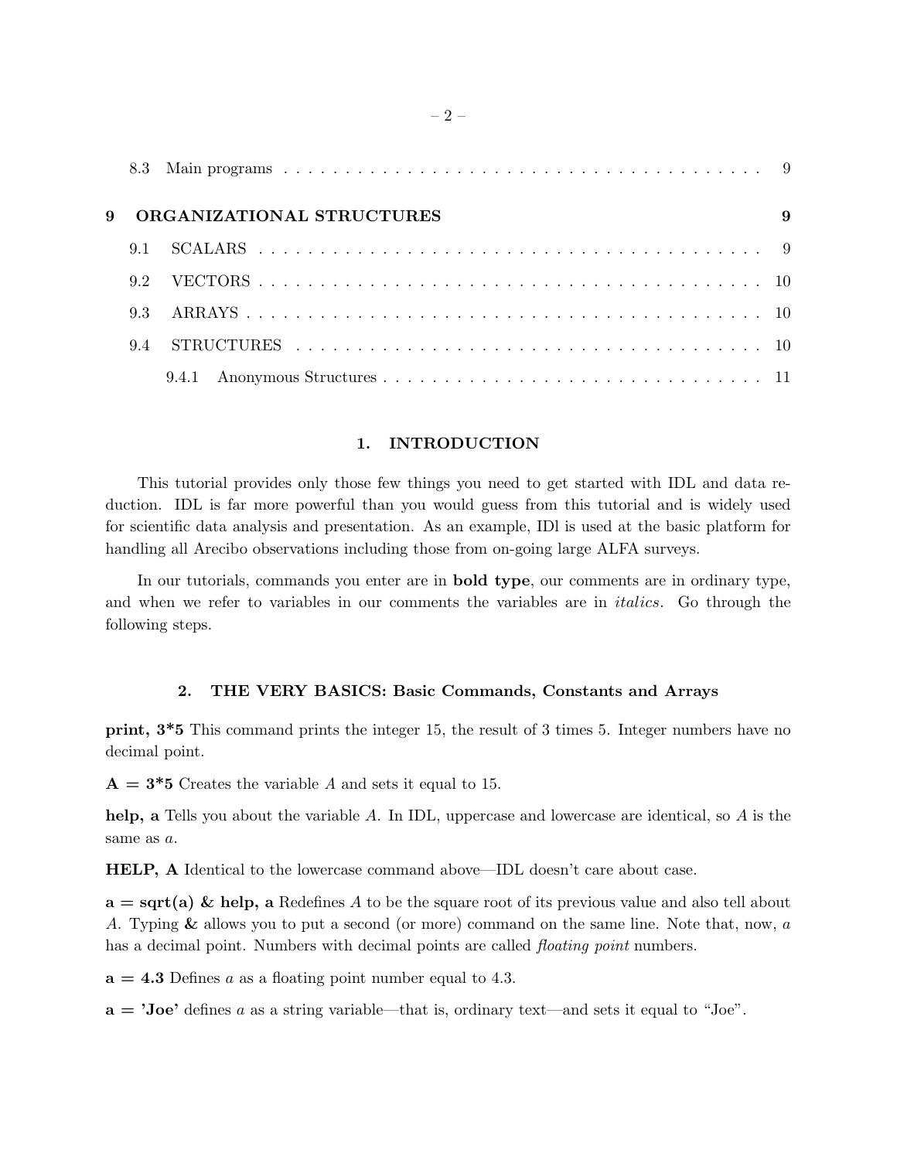| 9 | ORGANIZATIONAL STRUCTURES |       |  |  |  |  |
|---|---------------------------|-------|--|--|--|--|
|   | 9.1                       |       |  |  |  |  |
|   | 92                        |       |  |  |  |  |
|   | 9.3                       |       |  |  |  |  |
|   | 94                        |       |  |  |  |  |
|   |                           | 9.4.1 |  |  |  |  |

# 1. INTRODUCTION

This tutorial provides only those few things you need to get started with IDL and data reduction. IDL is far more powerful than you would guess from this tutorial and is widely used for scientific data analysis and presentation. As an example, IDl is used at the basic platform for handling all Arecibo observations including those from on-going large ALFA surveys.

In our tutorials, commands you enter are in bold type, our comments are in ordinary type, and when we refer to variables in our comments the variables are in italics. Go through the following steps.

### 2. THE VERY BASICS: Basic Commands, Constants and Arrays

print, 3\*5 This command prints the integer 15, the result of 3 times 5. Integer numbers have no decimal point.

 $A = 3*5$  Creates the variable A and sets it equal to 15.

help, a Tells you about the variable A. In IDL, uppercase and lowercase are identical, so A is the same as a.

HELP, A Identical to the lowercase command above—IDL doesn't care about case.

 $a = \sqrt{a}$  & help, a Redefines A to be the square root of its previous value and also tell about A. Typing & allows you to put a second (or more) command on the same line. Note that, now, a has a decimal point. Numbers with decimal points are called *floating point* numbers.

 $a = 4.3$  Defines a as a floating point number equal to 4.3.

 $a = 'Joe'$  defines a as a string variable—that is, ordinary text—and sets it equal to "Joe".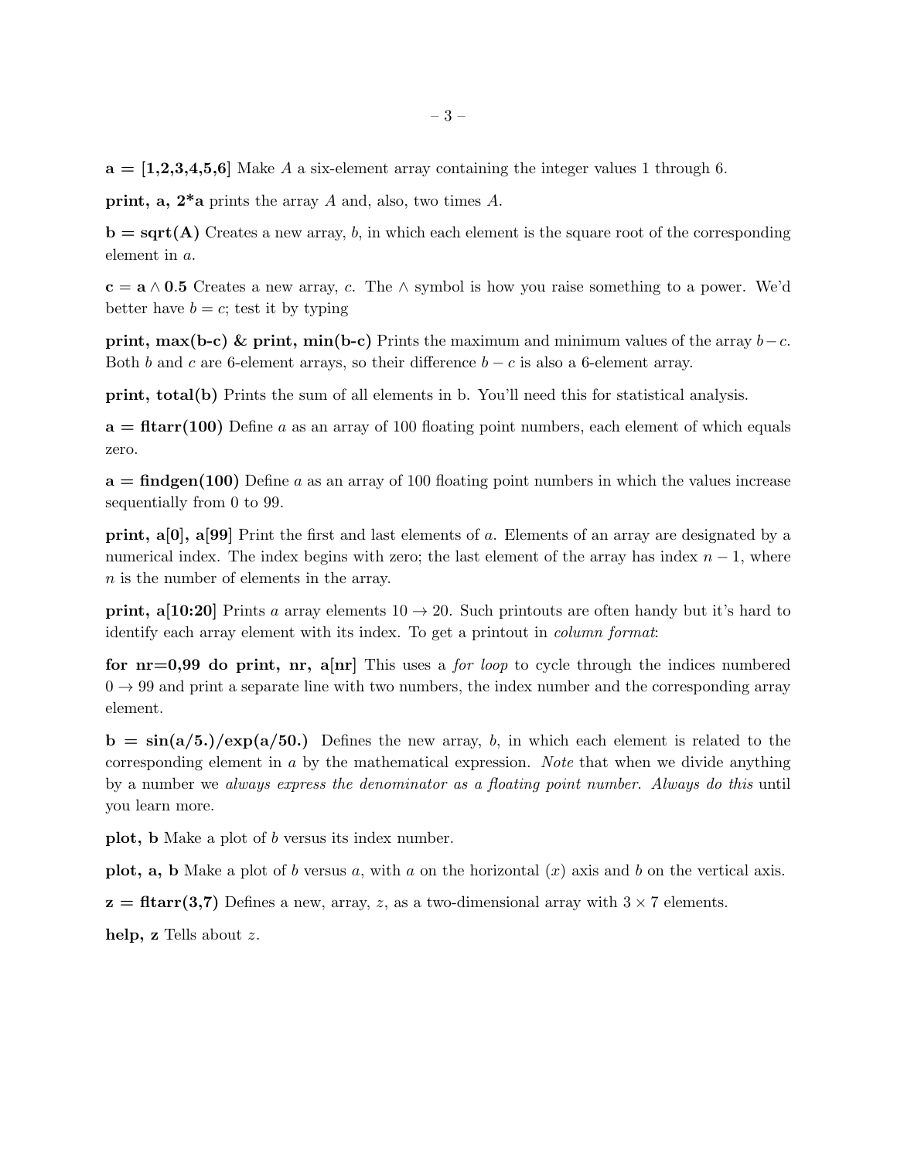$a = \begin{bmatrix} 1,2,3,4,5,6 \end{bmatrix}$  Make A a six-element array containing the integer values 1 through 6.

**print, a, 2<sup>\*</sup>a** prints the array A and, also, two times A.

 $\mathbf{b} = \mathbf{sqrt}(\mathbf{A})$  Creates a new array, b, in which each element is the square root of the corresponding element in a.

 $c = a \wedge 0.5$  Creates a new array, c. The  $\wedge$  symbol is how you raise something to a power. We'd better have  $b = c$ ; test it by typing

**print, max(b-c) & print, min(b-c)** Prints the maximum and minimum values of the array  $b - c$ . Both b and c are 6-element arrays, so their difference  $b - c$  is also a 6-element array.

print, total(b) Prints the sum of all elements in b. You'll need this for statistical analysis.

 $a = \text{fltarr}(100)$  Define a as an array of 100 floating point numbers, each element of which equals zero.

 $a = \text{findgen}(100)$  Define a as an array of 100 floating point numbers in which the values increase sequentially from 0 to 99.

print, a[0], a[99] Print the first and last elements of a. Elements of an array are designated by a numerical index. The index begins with zero; the last element of the array has index  $n-1$ , where n is the number of elements in the array.

**print, a**[10:20] Prints a array elements  $10 \rightarrow 20$ . Such printouts are often handy but it's hard to identify each array element with its index. To get a printout in column format:

for  $nr=0.99$  do print,  $n\pi$ ,  $a[nr]$  This uses a *for loop* to cycle through the indices numbered  $0 \rightarrow 99$  and print a separate line with two numbers, the index number and the corresponding array element.

 $b = \sin(a/5.)/\exp(a/50.)$  Defines the new array, b, in which each element is related to the corresponding element in a by the mathematical expression. Note that when we divide anything by a number we always express the denominator as a floating point number. Always do this until you learn more.

plot, b Make a plot of b versus its index number.

**plot, a, b** Make a plot of b versus a, with a on the horizontal  $(x)$  axis and b on the vertical axis.

 $z = \text{fltarr}(3,7)$  Defines a new, array, z, as a two-dimensional array with  $3 \times 7$  elements.

help, z Tells about z.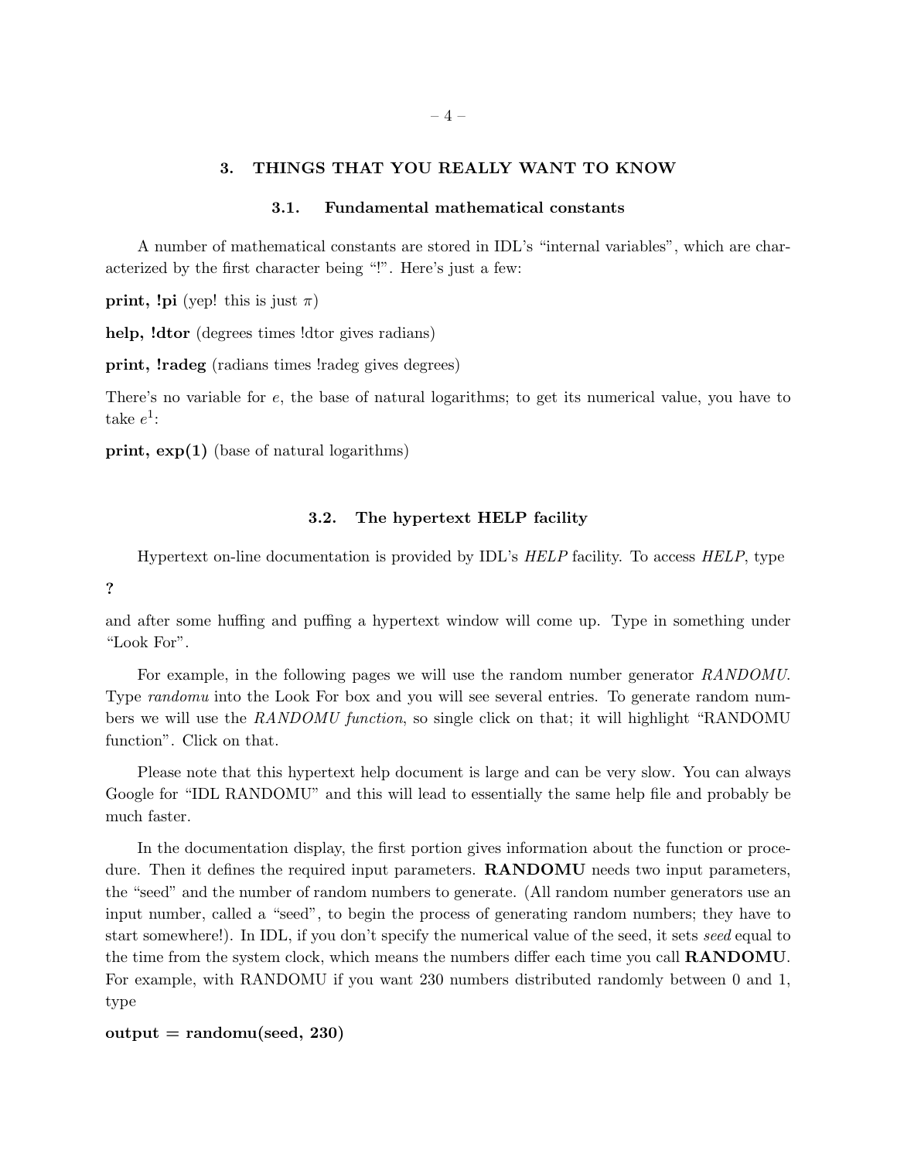# 3. THINGS THAT YOU REALLY WANT TO KNOW

### 3.1. Fundamental mathematical constants

A number of mathematical constants are stored in IDL's "internal variables", which are characterized by the first character being "!". Here's just a few:

**print, !pi** (yep! this is just  $\pi$ )

help, !dtor (degrees times !dtor gives radians)

print, !radeg (radians times !radeg gives degrees)

There's no variable for e, the base of natural logarithms; to get its numerical value, you have to take  $e^1$ :

print, exp(1) (base of natural logarithms)

#### 3.2. The hypertext HELP facility

Hypertext on-line documentation is provided by IDL's HELP facility. To access HELP, type

?

and after some huffing and puffing a hypertext window will come up. Type in something under "Look For".

For example, in the following pages we will use the random number generator RANDOMU. Type *randomu* into the Look For box and you will see several entries. To generate random numbers we will use the RANDOMU function, so single click on that; it will highlight "RANDOMU function". Click on that.

Please note that this hypertext help document is large and can be very slow. You can always Google for "IDL RANDOMU" and this will lead to essentially the same help file and probably be much faster.

In the documentation display, the first portion gives information about the function or procedure. Then it defines the required input parameters. **RANDOMU** needs two input parameters, the "seed" and the number of random numbers to generate. (All random number generators use an input number, called a "seed", to begin the process of generating random numbers; they have to start somewhere!). In IDL, if you don't specify the numerical value of the seed, it sets seed equal to the time from the system clock, which means the numbers differ each time you call RANDOMU. For example, with RANDOMU if you want 230 numbers distributed randomly between 0 and 1, type

```
output = randomu(seed, 230)
```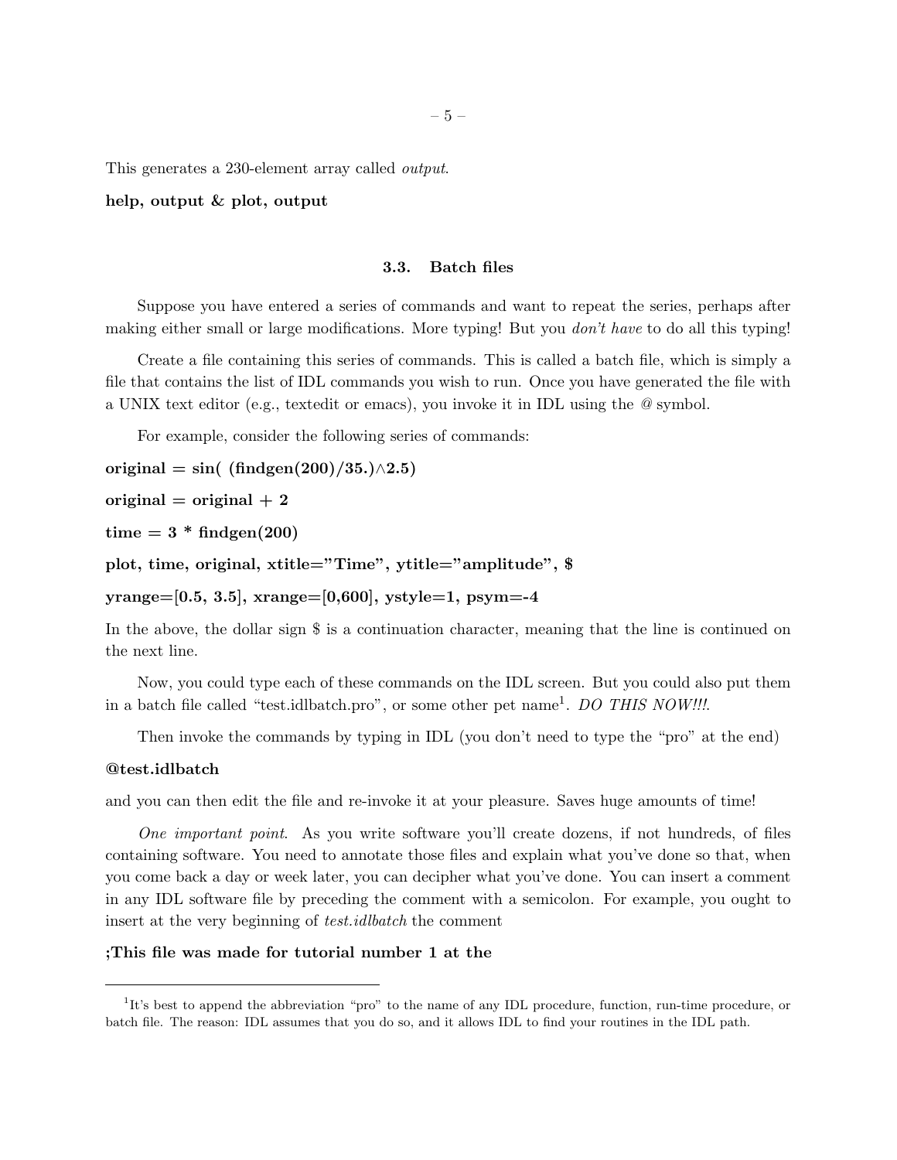This generates a 230-element array called output.

#### help, output & plot, output

### 3.3. Batch files

Suppose you have entered a series of commands and want to repeat the series, perhaps after making either small or large modifications. More typing! But you don't have to do all this typing!

Create a file containing this series of commands. This is called a batch file, which is simply a file that contains the list of IDL commands you wish to run. Once you have generated the file with a UNIX text editor (e.g., textedit or emacs), you invoke it in IDL using the @ symbol.

For example, consider the following series of commands:

original = sin(  $(\text{findgen}(200)/35.) \land 2.5)$ 

original  $=$  original  $+2$ 

time  $= 3 * \text{findgen}(200)$ 

plot, time, original, xtitle="Time", ytitle="amplitude", \$

 $yrange=[0.5, 3.5], \, \text{orange}=[0,600], \, \text{ystyle}=1, \, \text{psym}=-4$ 

In the above, the dollar sign  $\frac{6}{5}$  is a continuation character, meaning that the line is continued on the next line.

Now, you could type each of these commands on the IDL screen. But you could also put them in a batch file called "test.idlbatch.pro", or some other pet name<sup>1</sup>. DO THIS NOW!!!.

Then invoke the commands by typing in IDL (you don't need to type the "pro" at the end)

### @test.idlbatch

and you can then edit the file and re-invoke it at your pleasure. Saves huge amounts of time!

One important point. As you write software you'll create dozens, if not hundreds, of files containing software. You need to annotate those files and explain what you've done so that, when you come back a day or week later, you can decipher what you've done. You can insert a comment in any IDL software file by preceding the comment with a semicolon. For example, you ought to insert at the very beginning of *test.idlbatch* the comment

### ;This file was made for tutorial number 1 at the

<sup>&</sup>lt;sup>1</sup>It's best to append the abbreviation "pro" to the name of any IDL procedure, function, run-time procedure, or batch file. The reason: IDL assumes that you do so, and it allows IDL to find your routines in the IDL path.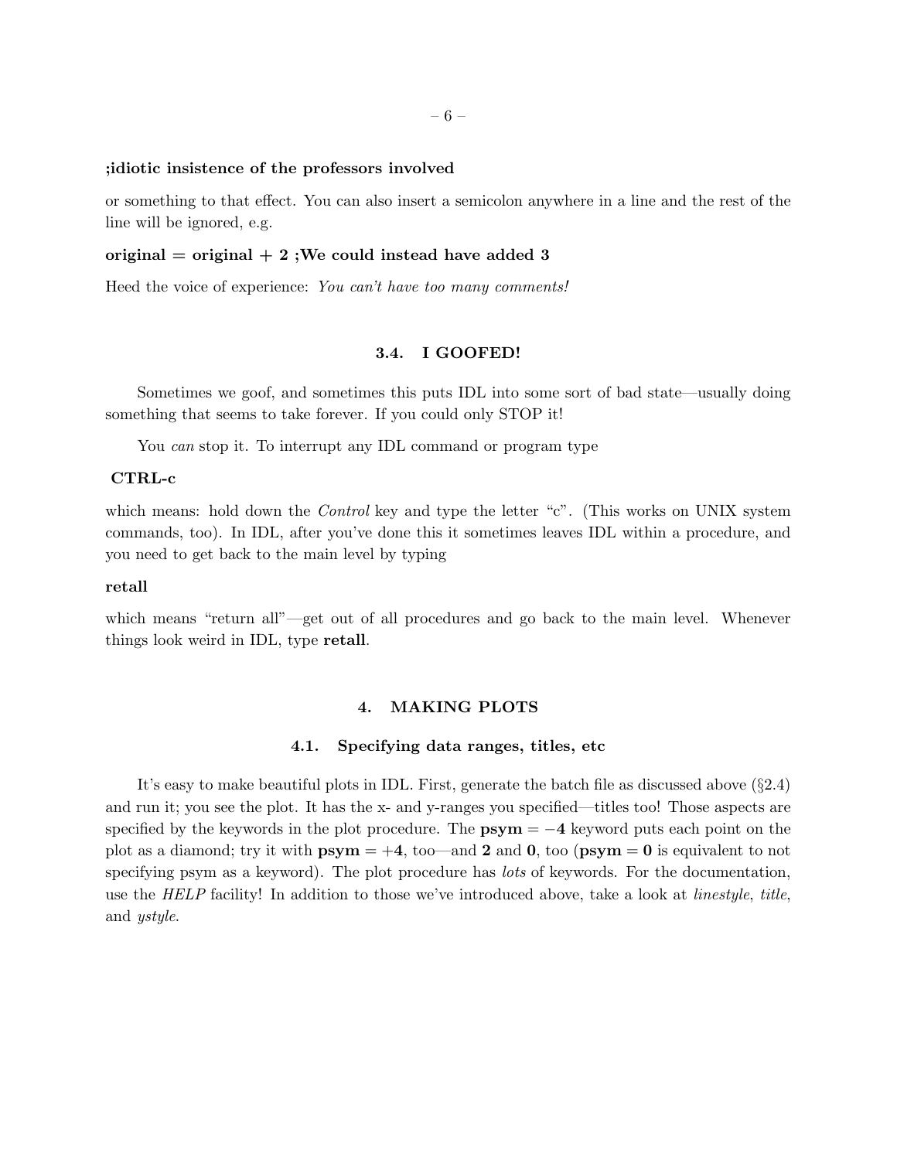#### ;idiotic insistence of the professors involved

or something to that effect. You can also insert a semicolon anywhere in a line and the rest of the line will be ignored, e.g.

#### original  $=$  original  $+2$ ; We could instead have added 3

Heed the voice of experience: You can't have too many comments!

# 3.4. I GOOFED!

Sometimes we goof, and sometimes this puts IDL into some sort of bad state—usually doing something that seems to take forever. If you could only STOP it!

You *can* stop it. To interrupt any IDL command or program type

### CTRL-c

which means: hold down the *Control* key and type the letter "c". (This works on UNIX system commands, too). In IDL, after you've done this it sometimes leaves IDL within a procedure, and you need to get back to the main level by typing

### retall

which means "return all"—get out of all procedures and go back to the main level. Whenever things look weird in IDL, type retall.

### 4. MAKING PLOTS

### 4.1. Specifying data ranges, titles, etc

It's easy to make beautiful plots in IDL. First, generate the batch file as discussed above (§2.4) and run it; you see the plot. It has the x- and y-ranges you specified—titles too! Those aspects are specified by the keywords in the plot procedure. The  $\text{psym} = -4$  keyword puts each point on the plot as a diamond; try it with  $\mathbf{psym} = +4$ , too—and 2 and 0, too ( $\mathbf{psym} = 0$  is equivalent to not specifying psym as a keyword). The plot procedure has *lots* of keywords. For the documentation, use the HELP facility! In addition to those we've introduced above, take a look at linestyle, title, and ystyle.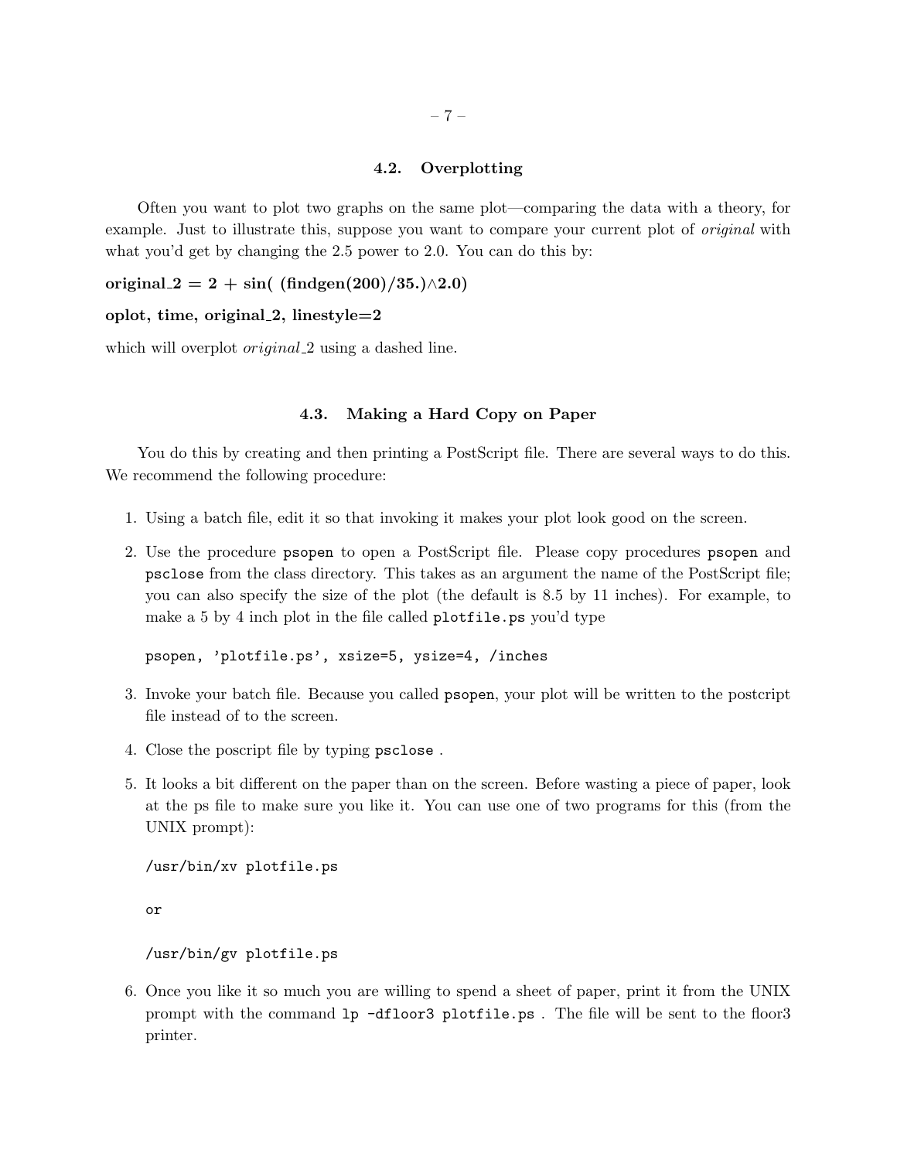# 4.2. Overplotting

Often you want to plot two graphs on the same plot—comparing the data with a theory, for example. Just to illustrate this, suppose you want to compare your current plot of *original* with what you'd get by changing the 2.5 power to 2.0. You can do this by:

original  $2 = 2 + \sin($  (findgen(200)/35.)∧2.0)

### oplot, time, original  $2$ , linestyle $=2$

which will overplot *original* 2 using a dashed line.

# 4.3. Making a Hard Copy on Paper

You do this by creating and then printing a PostScript file. There are several ways to do this. We recommend the following procedure:

- 1. Using a batch file, edit it so that invoking it makes your plot look good on the screen.
- 2. Use the procedure psopen to open a PostScript file. Please copy procedures psopen and psclose from the class directory. This takes as an argument the name of the PostScript file; you can also specify the size of the plot (the default is 8.5 by 11 inches). For example, to make a 5 by 4 inch plot in the file called plotfile.ps you'd type

psopen, 'plotfile.ps', xsize=5, ysize=4, /inches

- 3. Invoke your batch file. Because you called psopen, your plot will be written to the postcript file instead of to the screen.
- 4. Close the poscript file by typing psclose .
- 5. It looks a bit different on the paper than on the screen. Before wasting a piece of paper, look at the ps file to make sure you like it. You can use one of two programs for this (from the UNIX prompt):

/usr/bin/xv plotfile.ps

or

### /usr/bin/gv plotfile.ps

6. Once you like it so much you are willing to spend a sheet of paper, print it from the UNIX prompt with the command lp -dfloor3 plotfile.ps . The file will be sent to the floor3 printer.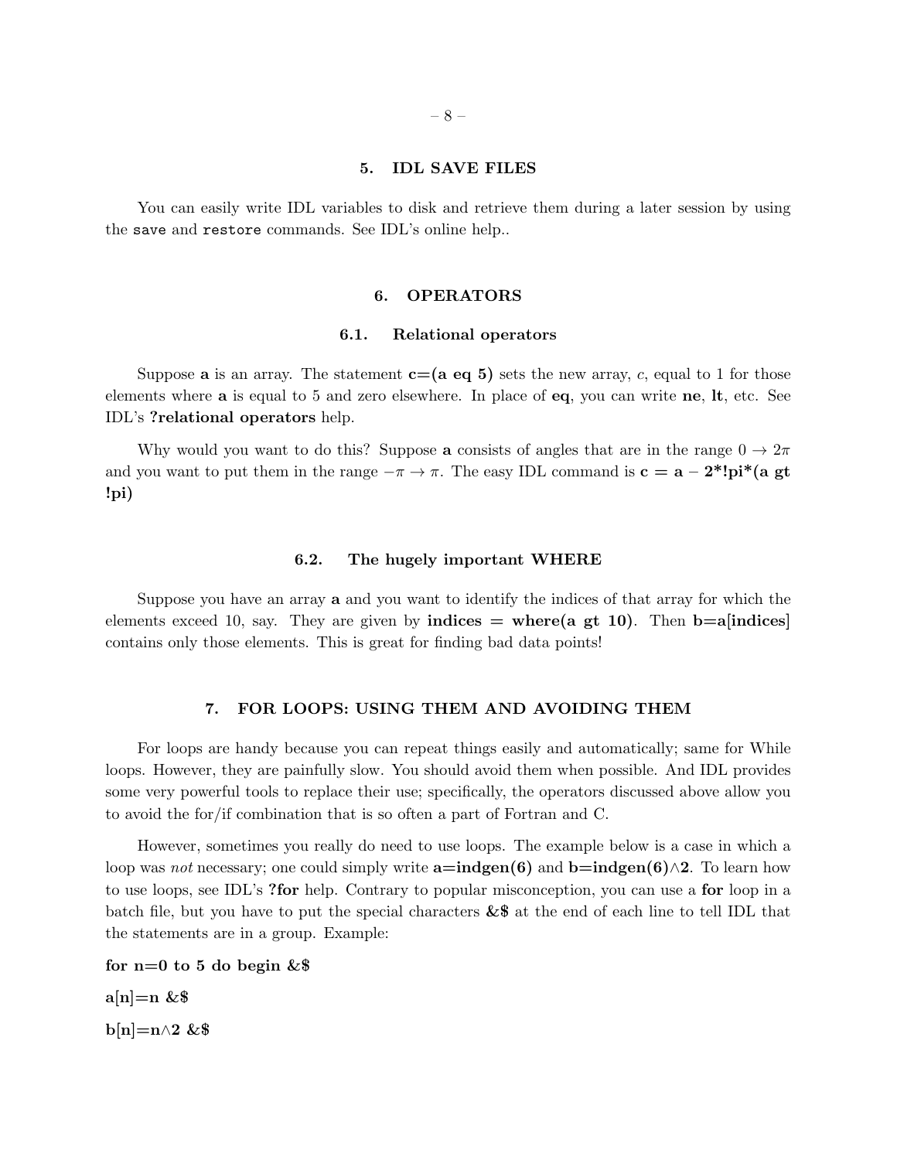### 5. IDL SAVE FILES

You can easily write IDL variables to disk and retrieve them during a later session by using the save and restore commands. See IDL's online help..

### 6. OPERATORS

#### 6.1. Relational operators

Suppose **a** is an array. The statement  $c=(a \cdot a \cdot b)$  sets the new array, c, equal to 1 for those elements where a is equal to 5 and zero elsewhere. In place of eq, you can write ne, lt, etc. See IDL's ?relational operators help.

Why would you want to do this? Suppose a consists of angles that are in the range  $0 \to 2\pi$ and you want to put them in the range  $-\pi \to \pi$ . The easy IDL command is  $\mathbf{c} = \mathbf{a} - 2^*! \mathbf{pi}^* (\mathbf{a} \text{gt})$ !pi)

#### 6.2. The hugely important WHERE

Suppose you have an array a and you want to identify the indices of that array for which the elements exceed 10, say. They are given by **indices**  $=$  where(a gt 10). Then **b**=a[indices] contains only those elements. This is great for finding bad data points!

### 7. FOR LOOPS: USING THEM AND AVOIDING THEM

For loops are handy because you can repeat things easily and automatically; same for While loops. However, they are painfully slow. You should avoid them when possible. And IDL provides some very powerful tools to replace their use; specifically, the operators discussed above allow you to avoid the for/if combination that is so often a part of Fortran and C.

However, sometimes you really do need to use loops. The example below is a case in which a loop was *not* necessary; one could simply write  $a=indgen(6)$  and  $b=indgen(6)\wedge 2$ . To learn how to use loops, see IDL's ?for help. Contrary to popular misconception, you can use a for loop in a batch file, but you have to put the special characters  $&$  at the end of each line to tell IDL that the statements are in a group. Example:

for  $n=0$  to 5 do begin  $&$  $a[n]=n$  & \$ b[n]=n $\wedge$ 2 &\$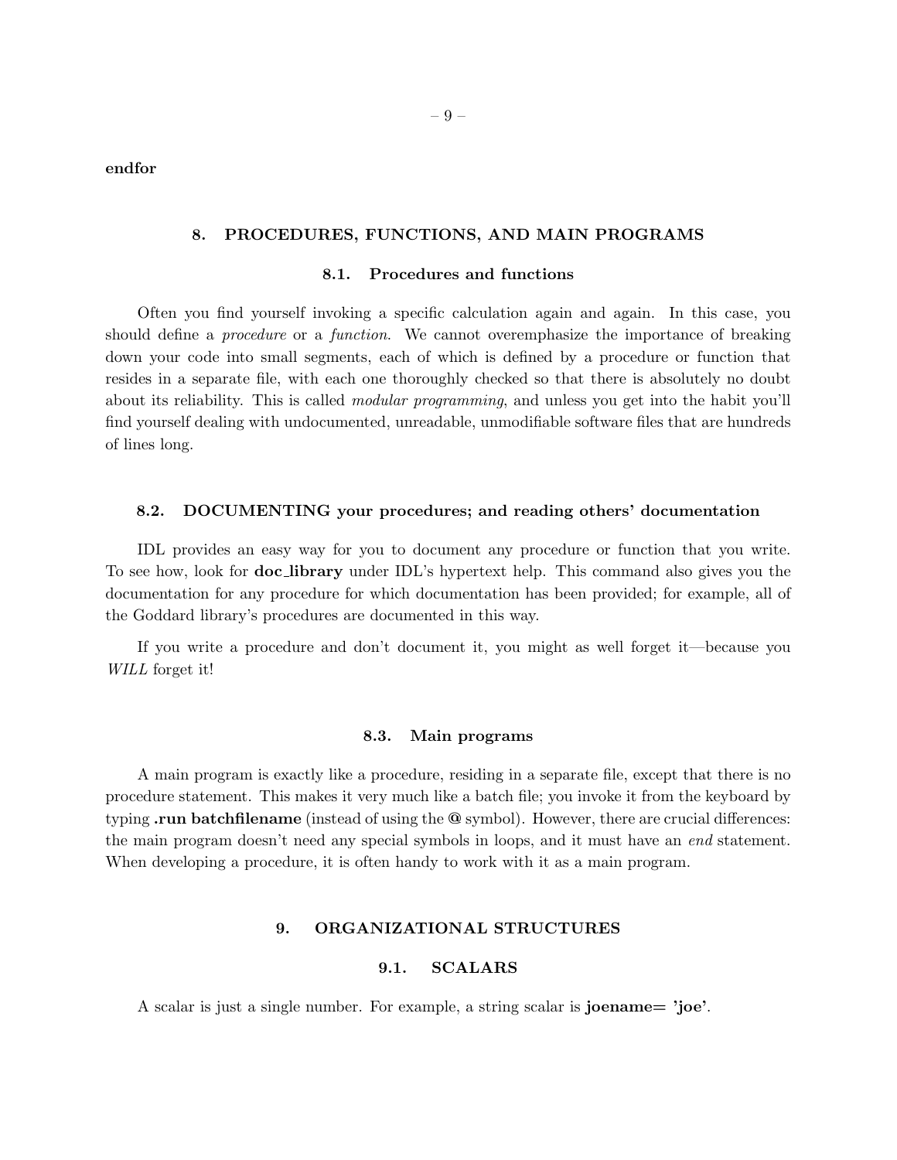endfor

### 8. PROCEDURES, FUNCTIONS, AND MAIN PROGRAMS

### 8.1. Procedures and functions

Often you find yourself invoking a specific calculation again and again. In this case, you should define a *procedure* or a *function*. We cannot overemphasize the importance of breaking down your code into small segments, each of which is defined by a procedure or function that resides in a separate file, with each one thoroughly checked so that there is absolutely no doubt about its reliability. This is called modular programming, and unless you get into the habit you'll find yourself dealing with undocumented, unreadable, unmodifiable software files that are hundreds of lines long.

### 8.2. DOCUMENTING your procedures; and reading others' documentation

IDL provides an easy way for you to document any procedure or function that you write. To see how, look for doc library under IDL's hypertext help. This command also gives you the documentation for any procedure for which documentation has been provided; for example, all of the Goddard library's procedures are documented in this way.

If you write a procedure and don't document it, you might as well forget it—because you WILL forget it!

#### 8.3. Main programs

A main program is exactly like a procedure, residing in a separate file, except that there is no procedure statement. This makes it very much like a batch file; you invoke it from the keyboard by typing run batchfilename (instead of using the  $\Phi$  symbol). However, there are crucial differences: the main program doesn't need any special symbols in loops, and it must have an end statement. When developing a procedure, it is often handy to work with it as a main program.

# 9. ORGANIZATIONAL STRUCTURES

# 9.1. SCALARS

A scalar is just a single number. For example, a string scalar is joename= 'joe'.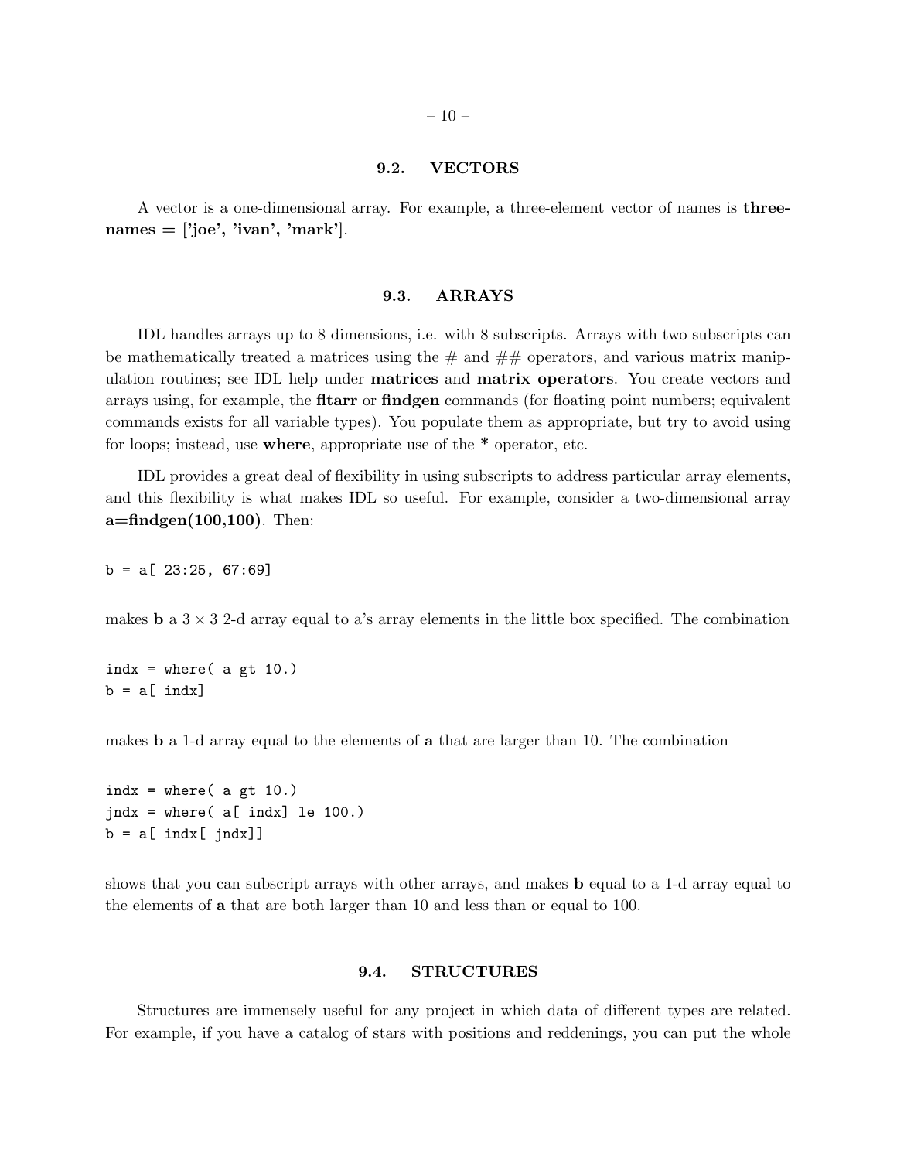### 9.2. VECTORS

A vector is a one-dimensional array. For example, a three-element vector of names is three $names = ['joe', 'ivan', 'mark']$ .

#### 9.3. ARRAYS

IDL handles arrays up to 8 dimensions, i.e. with 8 subscripts. Arrays with two subscripts can be mathematically treated a matrices using the  $\#$  and  $\#$  operators, and various matrix manipulation routines; see IDL help under matrices and matrix operators. You create vectors and arrays using, for example, the **fitarr** or **findgen** commands (for floating point numbers; equivalent commands exists for all variable types). You populate them as appropriate, but try to avoid using for loops; instead, use where, appropriate use of the \* operator, etc.

IDL provides a great deal of flexibility in using subscripts to address particular array elements, and this flexibility is what makes IDL so useful. For example, consider a two-dimensional array  $a = \text{findgen}(100,100)$ . Then:

 $b = a [ 23:25, 67:69]$ 

makes **b** a  $3 \times 3$  2-d array equal to a's array elements in the little box specified. The combination

indx = where(  $a$  gt 10.)  $b = a$ [ indx]

makes b a 1-d array equal to the elements of a that are larger than 10. The combination

```
indx = where( a gt 10.)
jndx = where( a [ indx] le 100.)b = a[ indx[ jndx]]
```
shows that you can subscript arrays with other arrays, and makes b equal to a 1-d array equal to the elements of a that are both larger than 10 and less than or equal to 100.

# 9.4. STRUCTURES

Structures are immensely useful for any project in which data of different types are related. For example, if you have a catalog of stars with positions and reddenings, you can put the whole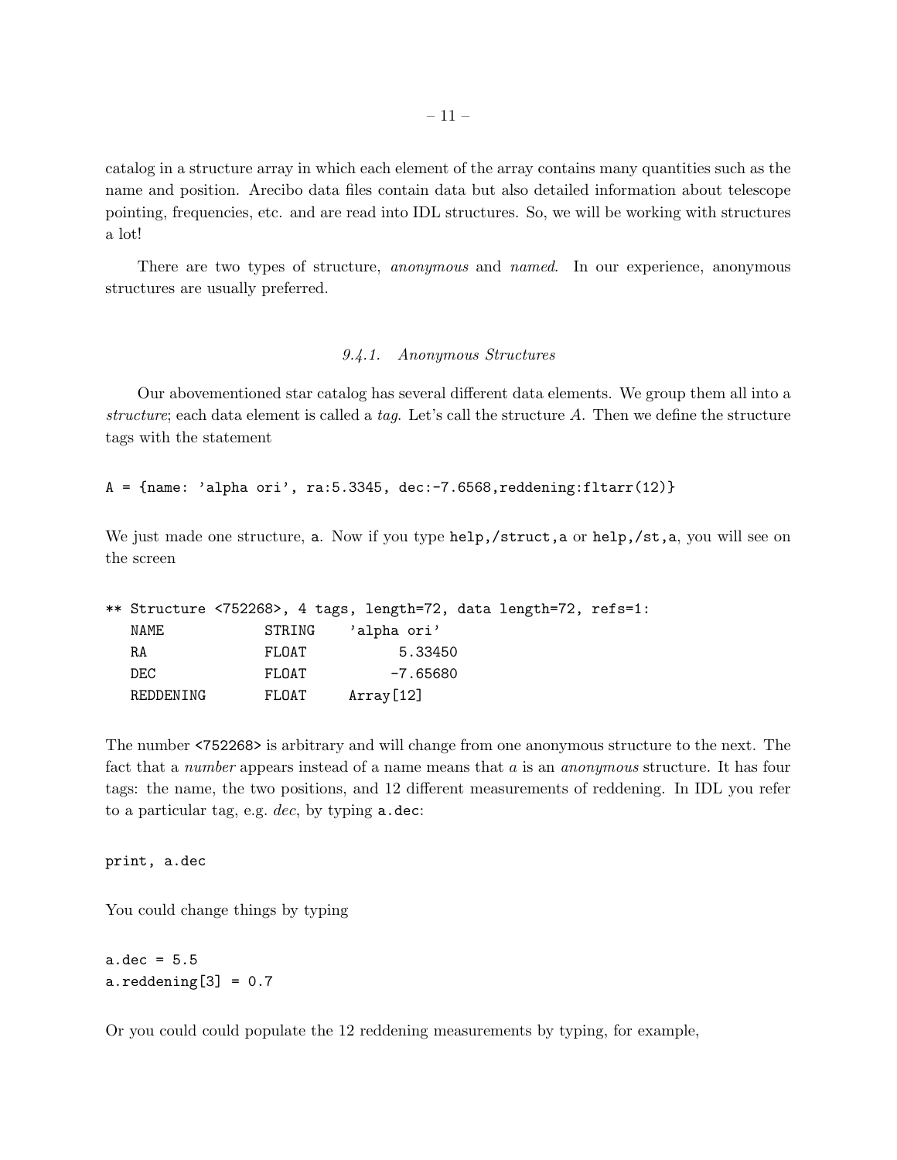catalog in a structure array in which each element of the array contains many quantities such as the name and position. Arecibo data files contain data but also detailed information about telescope pointing, frequencies, etc. and are read into IDL structures. So, we will be working with structures a lot!

There are two types of structure, *anonymous* and *named*. In our experience, anonymous structures are usually preferred.

# 9.4.1. Anonymous Structures

Our abovementioned star catalog has several different data elements. We group them all into a structure; each data element is called a tag. Let's call the structure  $A$ . Then we define the structure tags with the statement

 $A = \{name: 'alpha or i', ra:5.3345, dec:-7.6568, reddening:filter(12)\}\$ 

We just made one structure, a. Now if you type help,/struct,a or help,/st,a, you will see on the screen

|           | ** Structure <752268>, 4 tags, length=72, data length=72, refs=1: |             |  |  |
|-----------|-------------------------------------------------------------------|-------------|--|--|
| NAME      | STRING                                                            | 'alpha ori' |  |  |
| RA        | FLOAT                                                             | 5.33450     |  |  |
| DEC.      | FLOAT                                                             | -7.65680    |  |  |
| REDDENING | FLOAT                                                             | Array[12]   |  |  |

The number <752268> is arbitrary and will change from one anonymous structure to the next. The fact that a *number* appears instead of a name means that a is an *anonymous* structure. It has four tags: the name, the two positions, and 12 different measurements of reddening. In IDL you refer to a particular tag, e.g. dec, by typing a.dec:

print, a.dec

You could change things by typing

 $a.dec = 5.5$  $a.readening[3] = 0.7$ 

Or you could could populate the 12 reddening measurements by typing, for example,